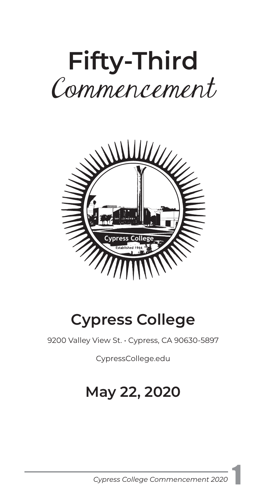# **Fifty-Third**  Commencement



# **Cypress College**

9200 Valley View St. · Cypress, CA 90630-5897

[CypressCollege.edu](https://CypressCollege.edu)

# **May 22, 2020**

*Cypress College Commencement 2020* 1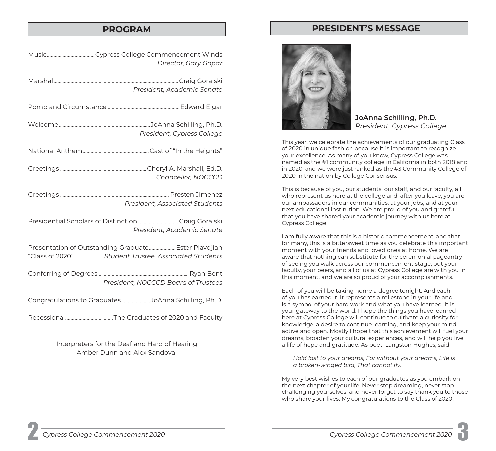# **PROGRAM PRESIDENT'S MESSAGE**

Interpreters for the Deaf and Hard of Hearing Amber Dunn and Alex Sandoval



**JoAnna Schilling, Ph.D.**  *President, Cypress College* 

This year, we celebrate the achievements of our graduating Class of 2020 in unique fashion because it is important to recognize your excellence. As many of you know, Cypress College was named as the #1 community college in California in both 2018 and in 2020, and we were just ranked as the #3 Community College of 2020 in the nation by College Consensus.

This is because of you, our students, our staff, and our faculty, all who represent us here at the college and, after you leave, you are our ambassadors in our communities, at your jobs, and at your next educational institution. We are proud of you and grateful that you have shared your academic journey with us here at Cypress College.

I am fully aware that this is a historic commencement, and that for many, this is a bittersweet time as you celebrate this important moment with your friends and loved ones at home. We are aware that nothing can substitute for the ceremonial pageantry of seeing you walk across our commencement stage, but your faculty, your peers, and all of us at Cypress College are with you in this moment, and we are so proud of your accomplishments.

Each of you will be taking home a degree tonight. And each of you has earned it. It represents a milestone in your life and is a symbol of your hard work and what you have learned. It is your gateway to the world. I hope the things you have learned here at Cypress College will continue to cultivate a curiosity for knowledge, a desire to continue learning, and keep your mind active and open. Mostly I hope that this achievement will fuel your dreams, broaden your cultural experiences, and will help you live a life of hope and gratitude. As poet, Langston Hughes, said:

*Hold fast to your dreams, For without your dreams, Life is a broken-winged bird, That cannot fy.* 

My very best wishes to each of our graduates as you embark on the next chapter of your life. Never stop dreaming, never stop challenging yourselves, and never forget to say thank you to those who share your lives. My congratulations to the Class of 2020!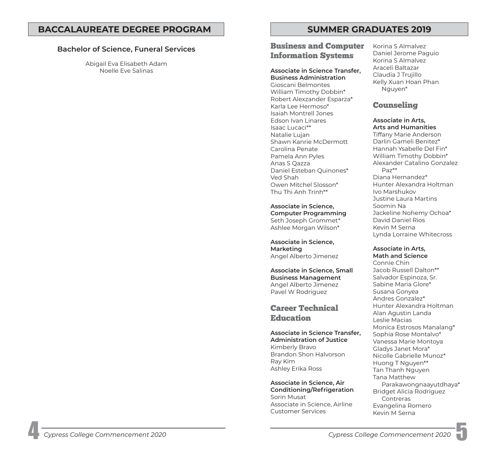# **Bachelor of Science, Funeral Services**

Abigail Eva Elisabeth Adam Noelle Eve Salinas

# Business and Computer Information Systems

# **Associate in Science Transfer, Business Administration**

Gioscani Belmontes William Timothy Dobbin\* Robert Alexzander Esparza\* Karla Lee Hermoso\* Isaiah Montrell Jones Edson Ivan Linares Isaac Lucaci\*\* Natalie Lujan Shawn Kanrie McDermott Carolina Penate Pamela Ann Pyles Anas S Qazza Daniel Esteban Quinones\* Ved Shah Owen Mitchel Slosson\* Thu Thi Anh Trinh\*\*

**Associate in Science, Computer Programming**  Seth Joseph Grommet\* Ashlee Morgan Wilson\*

**Associate in Science, Marketing**  Angel Alberto Jimenez

**Associate in Science, Small Business Management**  Angel Alberto Jimenez Pavel W Rodriguez

# Career Technical **Education**

**Associate in Science Transfer, Administration of Justice**  Kimberly Bravo Brandon Shon Halvorson Ray Kim Ashley Erika Ross

**Associate in Science, Air Conditioning/Refrigeration**  Sorin Musat Associate in Science, Airline Customer Services

Korina S Almalvez Daniel Jerome Paguio Korina S Almalvez Araceli Baltazar Claudia J Trujillo Kelly Xuan Hoan Phan Nguyen\*

# Counseling

**Associate in Arts, Arts and Humanities**  Tiffany Marie Anderson Darlin Gameli Benitez\*

Hannah Ysabelle Del Fin\* William Timothy Dobbin\* Alexander Catalino Gonzalez Paz\*\* Diana Hernandez\* Hunter Alexandra Holtman Ivo Marshukov Justine Laura Martins Soomin Na Jackeline Nohemy Ochoa\* David Daniel Rios Kevin M Serna Lynda Lorraine Whitecross

### **Associate in Arts, Math and Science**

Connie Chin Jacob Russell Dalton\*\* Salvador Espinoza, Sr. Sabine Maria Glore\* Susana Gonyea Andres Gonzalez\* Hunter Alexandra Holtman Alan Agustin Landa Leslie Macias Monica Estrosos Manalang\* Sophia Rose Montalvo\* Vanessa Marie Montoya Gladys Janet Mora\* Nicolle Gabrielle Munoz\* Huong T Nguyen\*\* Tan Thanh Nguyen Tana Matthew Parakawongnaayutdhaya\* Bridget Alicia Rodriguez **Contreras** Evangelina Romero Kevin M Serna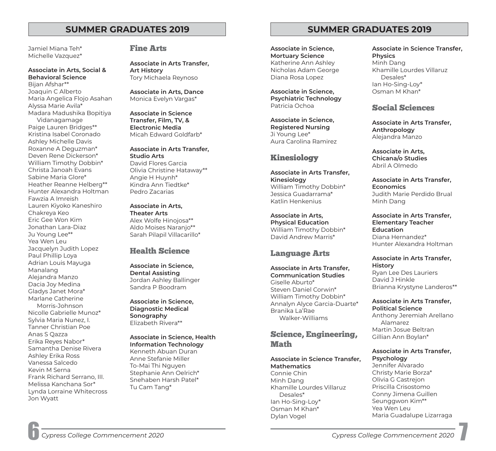Jamiel Miana Teh\* Michelle Vazquez\*

# **Associate in Arts, Social & Behavioral Science**

Bijan Afshar\*\* Joaquin C Alberto Maria Angelica Flojo Asahan Alyssa Marie Avila\* Madara Madushika Bopitiya

Vidanagamage Paige Lauren Bridges\*\* Kristina Isabel Coronado Ashley Michelle Davis Roxanne A Deguzman\* Deven Rene Dickerson\* William Timothy Dobbin\* Christa Janoah Evans Sabine Maria Glore\* Heather Reanne Helberg\*\* Hunter Alexandra Holtman Fawzia A Imreish Lauren Kiyoko Kaneshiro Chakreya Keo Eric Gee Won Kim Jonathan Lara-Diaz Ju Young Lee\*\* Yea Wen Leu Jacquelyn Judith Lopez Paul Phillip Loya Adrian Louis Mayuga Manalang Alejandra Manzo Dacia Joy Medina Gladys Janet Mora\* Marlane Catherine Morris-Johnson Nicolle Gabrielle Munoz\* Sylvia Maria Nunez, I. Tanner Christian Poe Anas S Qazza Erika Reyes Nabor\* Samantha Denise Rivera Ashley Erika Ross Vanessa Salcedo Kevin M Serna

Frank Richard Serrano, III. Melissa Kanchana Sor\* Lynda Lorraine Whitecross Jon Wyatt

# Fine Arts

**Associate in Arts Transfer, Art History**  Tory Michaela Reynoso

**Associate in Arts, Dance**  Monica Evelyn Vargas\*

**Associate in Science Transfer, Film, TV, & Electronic Media**  Micah Edward Goldfarb\*

**Associate in Arts Transfer, Studio Arts**  David Flores Garcia Olivia Christine Hataway\*\* Angie H Huynh\* Kindra Ann Tiedtke\* Pedro Zacarias

### **Associate in Arts, Theater Arts**

Alex Wolfe Hinojosa\*\* Aldo Moises Naranjo\*\* Sarah Pilapil Villacarillo\*

# Health Science

**Associate in Science, Dental Assisting**  Jordan Ashley Ballinger Sandra P Boodram

**Associate in Science, Diagnostic Medical Sonography**  Elizabeth Rivera\*\*

### **Associate in Science, Health Information Technology**  Kenneth Abuan Duran

Anne Stefanie Miller To-Mai Thi Nguyen Stephanie Ann Oelrich\* Snehaben Harsh Patel\* Tu Cam Tang\*

# **SUMMER GRADUATES 2019 SUMMER GRADUATES 2019**

**Associate in Science, Mortuary Science**  Katherine Ann Ashley Nicholas Adam George Diana Rosa Lopez

**Associate in Science, Psychiatric Technology**  Patricia Ochoa

**Associate in Science, Registered Nursing**  Ji Young Lee\* Aura Carolina Ramirez

# Kinesiology

**Associate in Arts Transfer, Kinesiology**  William Timothy Dobbin\* Jessica Guadarrama\* Katlin Henkenius

**Associate in Arts, Physical Education**  William Timothy Dobbin\* David Andrew Marris\*

# Language Arts

**Associate in Arts Transfer, Communication Studies**  Giselle Aburto\* Steven Daniel Corwin\* William Timothy Dobbin\* Annalyn Alyce Garcia-Duarte\* Branika La'Rae Walker-Williams

Science, Engineering, Math

# **Associate in Science Transfer,**

**Mathematics**  Connie Chin Minh Dang Khamille Lourdes Villaruz Desales\* Ian Ho-Sing-Loy\* Osman M Khan\* Dylan Vogel

**Associate in Science Transfer, Physics**  Minh Dang Khamille Lourdes Villaruz Desales\* Ian Ho-Sing-Loy\* Osman M Khan\*

# Social Sciences

**Associate in Arts Transfer, Anthropology**  Alejandra Manzo

**Associate in Arts, Chicana/o Studies**  Abril A Olmedo

**Associate in Arts Transfer, Economics**  Judith Marie Perdido Brual Minh Dang

**Associate in Arts Transfer, Elementary Teacher Education**  Diana Hernandez\* Hunter Alexandra Holtman

**Associate in Arts Transfer, History**  Ryan Lee Des Lauriers David J Hinkle Brianna Krystyne Landeros\*\*

**Associate in Arts Transfer, Political Science** 

Anthony Jeremiah Arellano Alamarez Martin Josue Beltran Gillian Ann Boylan\*

### **Associate in Arts Transfer, Psychology**

Jennifer Alvarado Christy Marie Borza\* Olivia G Castrejon Priscilla Crisostomo Conny Jimena Guillen Seunggwon Kim\*\* Yea Wen Leu Maria Guadalupe Lizarraga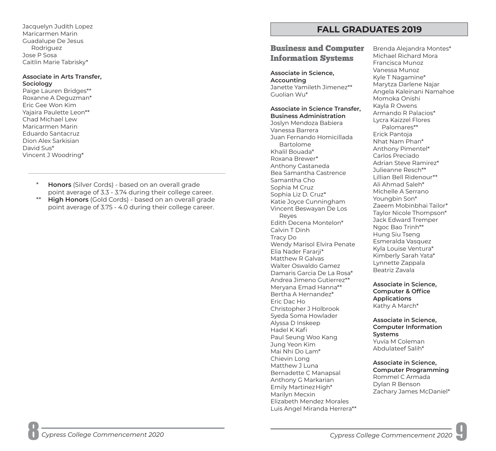Jacquelyn Judith Lopez Maricarmen Marin Guadalupe De Jesus Rodriguez Jose P Sosa Caitlin Marie Tabrisky\*

### **Associate in Arts Transfer, Sociology**

Paige Lauren Bridges\*\* Roxanne A Deguzman\* Eric Gee Won Kim Yajaira Paulette Leon\*\* Chad Michael Lew Maricarmen Marin Eduardo Santacruz Dion Alex Sarkisian David Sus\* Vincent J Woodring\*

- **Honors** (Silver Cords) based on an overall grade point average of 3.3 - 3.74 during their college career.
- \*\* **High Honors** (Gold Cords) based on an overall grade point average of 3.75 - 4.0 during their college career.

# **FALL GRADUATES 2019**

# **Business and Computer** Brenda Alejandra Montes\*<br> **Information Strateme** Michael Richard Mora **Information Systems** Michael Richard Nunoz

Tracy Do<br>
Wendy Marisol Elvira Penate Esmeralda Vasquez<br>
Esmeralda Vasquez<br>
Kyla Louise Ventura\* Elia Nader Fararji\* Kylä Louise ventura\*<br>Matthew R Galvas Kimberly Sarah Yata\*<br>Mathew Osmanlik Campos Walter Oswaldo Gamez<br>Beatriz Zavala Damaris Garcia De La Rosa\* Andrea Jimeno Gutierrez\*\*<br>
Meryana Emad Hanna\*\* **Associate in Science,<br>
Bertha A Hernandez\* <b>Computer & Office**<br>
Eric Dac Ho **Christopher J Holbrook** Kathy A March\* Christopher J Holbrook Syeda Soma Howlader **Associate in Science,**<br>Alyssa D Inskeep **Computer Information**<br>Paul Seung Woo Kang **Systems**<br>Jung Yeon Kim Yuvia M Coleman Mai Nhi Do Lam\* Abdulateef Salih\* Mai Nhi Do Lam\* Chievin Long **Associate in Science,<br>
Matthew J Luna <b>Computer Programming**<br>
Bernadette C Manapsal Rommel C Armada<br>
Anthony G Markarian Benson Dylan R Benson<br>
Emily Martinez High\* Dylan R Benson<br>
Marilyn Mecxin Zachary Jame Elizabeth Mendez Morales Luis Angel Miranda Herrera\*\*

Vanessa Munoz **Associate in Science,** Kyle T Nagamine\* **Accounting** Marytza Darlene Najar Janette Yamileth Jimenez\*\* Angela Kaleinani Namahoe Guolian Wu\* Momoka Onishi Associate in Science Transfer, Kayla R Owens<br>
Joslyn Mendoza Babiera<br>
Joslyn Mendoza Babiera<br>
Vanessa Barrera<br>
Juan Fernando Homicillada<br>
Bartolome<br>
Bartolome<br>
Erick Pantoja<br>
Bartolome<br>
Anthony Castaneda<br>
Anthony Pimentel\*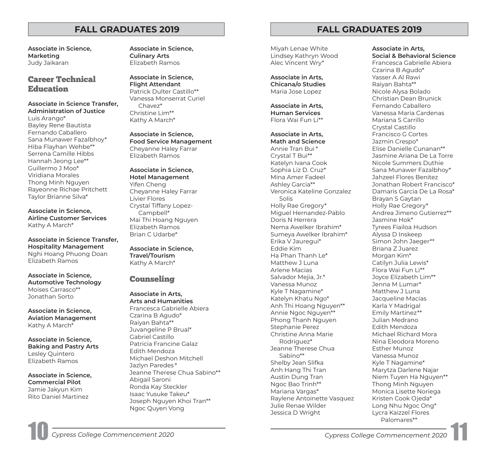**Marketing Culinary Arts**  Judy Jaikaran Elizabeth Ramos

**Associate in Science Transfer,** Chavez\* **Administration of Justice** Christine Lim\*\*

Luis Arango\* Kathy A March\* Bayley Rene Bautista Fernando Caballero **Associate in Science,**<br>Sana Munawer Fazalbhoy\* **Food Service Management**<br>Hiba Flayhan Wehbe\*\* Cheyanne Haley Farrar Serrena Camille Hibbs Elizabeth Ramos Hannah Jeong Lee\*\* Guillermo J Moo\* **Associate in Science,**<br>Viridiana Morales **Hotel Management**<br>Thong Minh Nguyen Yifen Cheng<br>Rayeonne Richae Pritchett Cheyanne Haley Farrar<br>Taylor Brianne Silva\* Livier Flores

**Associate in Science Transfer, Hospitality Management Associate in Science,** Nghi Hoang Phuong Doan **Travel/Tourism** 

Associate in Science,<br>Automotive Technology **Counseling** Moises Carrasco\*\* **Associate in Arts,** Jonathan Sorto **Arts and Humanities** 

Jamie Jakyun Kim Isaac Yusuke Takeu\*<br>Rito Daniel Martinez Isaac Yusuke Takeu\*

**Associate in Science, Associate in Science,** 

Career Technical **Associate in Science, Flight Attendant** Education Patrick Dulter Castillo\*\* Vanessa Monserrat Curiel

Crystal Tiffany Lopez- **Associate in Science,** Campbell\* **Airline Customer Services** Mai Thi Hoang Nguyen Kathy A March\* Elizabeth Ramos Brian C Udarbe\*

Kathy A March\*

**Associate in Science, Aviation Management** Czarina B Agudo\*<br>**Aviation Management <sup>Czarina B Agudo\***<br>Kathy A March\* Juvangeline P Brual\*</sup> **Associate in Science, East Cabriel Castillo<br>
<b>Baking and Pastry Arts** Patricia Francine Galaz<br>
Lesley Quintero Blizabeth Ramos Michael Deshon Mitchell Elizabeth Ramos Jazlyn Paredes \* Jeanne Therese Chua Sabino\*\* **Associate in Science,** Abigail Saroni **Commercial Pilot**  Joseph Nguyen Khoi Tran\*\* Ngoc Quyen Vong

# **FALL GRADUATES 2019 FALL GRADUATES 2019**

Miyah Lenae White Lindsey Kathryn Wood Alec Vincent Wry\*

**Associate in Arts, Chicana/o Studies**  Maria Jose Lopez

**Associate in Arts, Human Services**  Flora Wai Fun Li\*\*

**Associate in Arts, Math and Science**  Annie Tran Bui \* Crystal T Bui\*\*

Katelyn Ivana Cook Sophia Liz D. Cruz\* Mina Amer Fadeel Ashley Garcia\*\* Veronica Kateline Gonzalez Solis Holly Rae Gregory\* Miguel Hernandez-Pablo Doris N Herrera Nema Awelker Ibrahim\* Sumeya Awelker Ibrahim\* Erika V Jauregui\* Eddie Kim Ha Phan Thanh Le\* Matthew J Luna Arlene Macias Salvador Mejia, Jr.\* Vanessa Munoz Kyle T Nagamine\* Katelyn Khatu Ngo\* Anh Thi Hoang Nguyen\*\* Annie Ngoc Nguyen\*\* Phong Thanh Nguyen Stephanie Perez Christine Anna Marie Rodriguez\* Jeanne Therese Chua Sabino\*\* Shelby Jean Slifka Anh Hang Thi Tran Austin Dung Tran Ngoc Bao Trinh\*\* Mariana Vargas\* Raylene Antoinette Vasquez Julie Renae Wilder Jessica D Wright

**Associate in Arts, Social & Behavioral Science**  Francesca Gabrielle Abiera Czarina B Agudo\* Yasser A Al Rawi Raiyan Bahta\*\* Nicole Alysa Bolado Christian Dean Brunick Fernando Caballero Vanessa Maria Cardenas Mariana S Carrillo Crystal Castillo Francisco G Cortes Jazmin Crespo\* Elise Danielle Cunanan\*\* Jasmine Ariana De La Torre Nicole Summers Duthie Sana Munawer Fazalbhoy\* Jahzeel Flores Benitez Jonathan Robert Francisco\* Damaris Garcia De La Rosa\* Brayan S Gaytan Holly Rae Gregory\* Andrea Jimeno Gutierrez\*\* Jasmine Hok\* Tyrees Fiailoa Hudson Alyssa D Inskeep Simon John Jaeger\*\* Briana Z Juarez Morgan Kim\* Catilyn Julia Lewis\* Flora Wai Fun Li\*\* Joyce Elizabeth Lim\*\* Jenna M Lumar\* Matthew J Luna Jacqueline Macias Karla Y Madrigal Emily Martinez\*\* Julian Medrano Edith Mendoza Michael Richard Mora Nina Eleodora Moreno Esther Munoz Vanessa Munoz Kyle T Nagamine\* Marytza Darlene Najar Niem Tuyen Ha Nguyen\*\* Thong Minh Nguyen Monica Lisette Noriega Kristen Cook Ojeda\* Long Nhu Ngoc Ong\* Lycra Kaizzel Flores

Palomares\*\*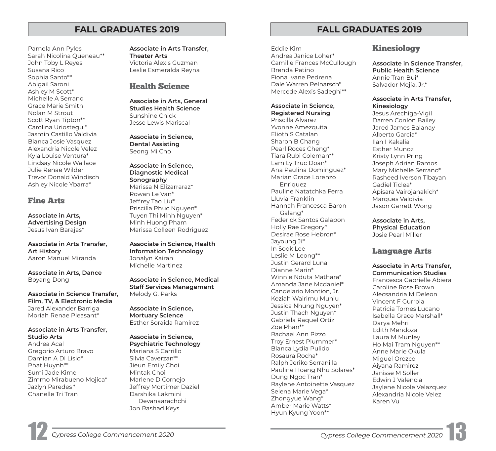# **FALL GRADUATES 2019 FALL GRADUATES 2019**

Pamela Ann Pyles Sarah Nicolina Queneau\*\* John Toby L Reyes Susana Rico Sophia Santo\*\* Abigail Saroni Ashley M Scott\* Michelle A Serrano Grace Marie Smith Nolan M Strout Scott Ryan Tipton\*\* Carolina Uriostegui\* Jasmin Castillo Valdivia Bianca Josie Vasquez Alexandria Nicole Velez Kyla Louise Ventura\* Lindsay Nicole Wallace Julie Renae Wilder Trevor Donald Windisch Ashley Nicole Ybarra\*

# Fine Arts

**Associate in Arts, Advertising Design**  Jesus Ivan Barajas\*

**Associate in Arts Transfer, Art History**  Aaron Manuel Miranda

**Associate in Arts, Dance**  Boyang Dong

**Associate in Science Transfer, Film, TV, & Electronic Media**  Jared Alexander Barriga Moriah Renae Pleasant\*

## **Associate in Arts Transfer, Studio Arts**

Andrea Acal Gregorio Arturo Bravo Damian A Di Lisio\* Phat Huynh\*\* Sumi Jade Kime Zimmo Mirabueno Mojica\* Jazlyn Paredes \* Chanelle Tri Tran

**Associate in Arts Transfer, Theater Arts**  Victoria Alexis Guzman Leslie Esmeralda Reyna

# Health Science

**Associate in Arts, General Studies Health Science**  Sunshine Chick Jesse Lewis Mariscal

**Associate in Science, Dental Assisting**  Seong Mi Cho

**Associate in Science, Diagnostic Medical Sonography**  Marissa N Elizarraraz\* Rowan Le Van\* Jeffrey Tao Liu\* Priscilla Phuc Nguyen\* Tuyen Thi Minh Nguyen\* Minh Huong Pham Marissa Colleen Rodriguez

**Associate in Science, Health Information Technology**  Jonalyn Kairan Michelle Martinez

**Associate in Science, Medical Staff Services Management**  Melody G. Parks

**Associate in Science, Mortuary Science**  Esther Soraida Ramirez

**Associate in Science, Psychiatric Technology**  Mariana S Carrillo Silvia Caverzan\*\* Jieun Emily Choi Mintak Choi Marlene D Cornejo Jeffrey Mortimer Daziel Darshika Lakmini Devanaarachchi Jon Rashad Keys

Eddie Kim Kinesiology Andrea Janice Loher\* Brenda Patino **Public Health Science**  Fiona Ivane Pedrena **Annie Tran Bui**<sup>\*</sup> Dale Warren Pelnarsch\* Salvador Mejia, Jr.\* Mercede Alexis Sadeghi\*\*

# Associate in Science, **Kinesiology**

**Registered Nursing** Jesus Arechiga-Vigil Priscilla Alvarez Darren Conlon Bailey Elioth S Catalan Alberto Garcia\* Sharon B Chang Ilan I Kakalia Pearl Roces Cheng\* Fsther Munoz Tiara Rubi Coleman\*\* Kristy Lynn Pring Ana Paulina Dominguez<sup>\*</sup> Mary Michelle Serrano<sup>\*</sup> Marian Grace Lorenzo Rasheed Iverson Tibayan Enriquez Gadiel Ticlea\* Pauline Natatchka Ferra Apisara Vairojanakich\* Hannah Francesca Baron Jason Garrett Wong Galang\* Federick Santos Galapon **Associate in Arts.** Holly Rae Gregory\* **Physical Education**  Desirae Rose Hebron\* Josie Pearl Miller Jayoung Ji\* In Sook Lee **Language Arts**<br>Leslie M Leong\*\* **Language Arts** Justin Gerard Luna<br>
Minnie Nduta Mathara\*<br>
Minnie Nduta Mathara\*<br>
Amanda Jane Mcdaniel\*<br>
Caroline Rose Brown<br>
Caroline Rose Brown<br>
Caroline Rose Brown<br>
Xeziah Wairimu Muniu<br>
Vincent F Gurrola<br>
Justin Thach Nguyen\*<br>
Vincent Hyun Kyung Yoon\*\*

Camille Frances McCullough **Associate in Science Transfer,** 

# **Associate in Arts Transfer,**

Jared James Balanay Joseph Adrian Ramos Marques Valdivia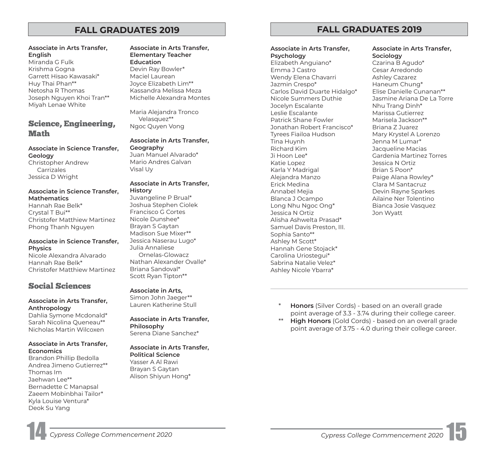### **Associate in Arts Transfer, English**

Miranda G Fulk Krishma Gogna Garrett Hisao Kawasaki\* Huy Thai Phan\*\* Netosha R Thomas Joseph Nguyen Khoi Tran\*\* Miyah Lenae White

# Science, Engineering, **Math**

## **Associate in Science Transfer, Geology**  Christopher Andrew

Carrizales Jessica D Wright

## **Associate in Science Transfer, Mathematics**

Hannah Rae Belk\* Crystal T Bui\*\* Christofer Matthiew Martinez Phong Thanh Nguyen

## **Associate in Science Transfer, Physics**

Nicole Alexandra Alvarado Hannah Rae Belk\* Christofer Matthiew Martinez

# Social Sciences

### **Associate in Arts Transfer, Anthropology**

Dahlia Symone Mcdonald\* Sarah Nicolina Queneau\*\* Nicholas Martin Wilcoxen

### **Associate in Arts Transfer, Economics**

Brandon Phillip Bedolla Andrea Jimeno Gutierrez\*\* Thomas Im Jaehwan Lee\*\* Bernadette C Manapsal Zaeem Mobinbhai Tailor\* Kyla Louise Ventura\* Deok Su Yang

### **Associate in Arts Transfer, Elementary Teacher Education**  Devin Ray Bowler\* Maciel Laurean Joyce Elizabeth Lim\*\* Kassandra Melissa Meza Michelle Alexandra Montes

Maria Alejandra Tronco Velasquez\*\* Ngoc Quyen Vong

# **Associate in Arts Transfer,**

**Geography**  Juan Manuel Alvarado\* Mario Andres Galvan Visal Uy

### **Associate in Arts Transfer, History**

Juvangeline P Brual\* Joshua Stephen Ciolek Francisco G Cortes Nicole Dunshee\* Brayan S Gaytan Madison Sue Mixer\*\* Jessica Naserau Lugo\* Julia Annaliese Ornelas-Glowacz Nathan Alexander Ovalle\* Briana Sandoval\* Scott Ryan Tipton\*\*

# **Associate in Arts,**

Simon John Jaeger\*\* Lauren Katherine Stull

# **Associate in Arts Transfer, Philosophy**

Serena Diane Sanchez\*

# **Associate in Arts Transfer,**

**Political Science**  Yasser A Al Rawi Brayan S Gaytan Alison Shiyun Hong\*

# **FALL GRADUATES 2019 FALL GRADUATES 2019**

### **Associate in Arts Transfer, Psychology**

Elizabeth Anguiano\* Emma J Castro Wendy Elena Chavarri Jazmin Crespo\* Carlos David Duarte Hidalgo\* Nicole Summers Duthie Jocelyn Escalante Leslie Escalante Patrick Shane Fowler Jonathan Robert Francisco\* Tyrees Fiailoa Hudson Tina Huynh Richard Kim Ji Hoon Lee\* Katie Lopez Karla Y Madrigal Alejandra Manzo Erick Medina Annabel Mejia Blanca J Ocampo Long Nhu Ngoc Ong\* Jessica N Ortiz Alisha Ashwelta Prasad\* Samuel Davis Preston, III. Sophia Santo\*\* Ashley M Scott\* Hannah Gene Stojack\* Carolina Uriostegui\* Sabrina Natalie Velez\* Ashley Nicole Ybarra\*

## **Associate in Arts Transfer, Sociology**

Czarina B Agudo\* Cesar Arredondo Ashley Cazarez Haneum Chung\* Elise Danielle Cunanan\*\* Jasmine Ariana De La Torre Nhu Trang Dinh\* Marissa Gutierrez Marisela Jackson\*\* Briana Z Juarez Mary Krystel A Lorenzo Jenna M Lumar\* Jacqueline Macias Gardenia Martinez Torres Jessica N Ortiz Brian S Poon\* Paige Alana Rowley\* Clara M Santacruz Devin Rayne Sparkes Ailaine Ner Tolentino Bianca Josie Vasquez Jon Wyatt

- **Honors** (Silver Cords) based on an overall grade point average of 3.3 - 3.74 during their college career.
- **High Honors** (Gold Cords) based on an overall grade point average of 3.75 - 4.0 during their college career.

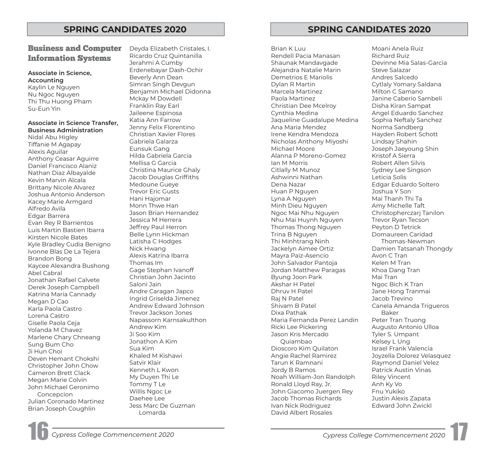# Business and Computer Information Systems

### **Associate in Science, Accounting**

Kaylin Le Nguyen Nu Ngoc Nguyen Thi Thu Huong Pham Su-Eun Yin

### **Associate in Science Transfer, Business Administration**

Anthony Ceasar Aguirre Nidal Abu Higley Tiffanie M Agapay Alexis Aguilar Daniel Francisco Alaniz Nathan Diaz Albayalde Kevin Marvin Alcala Brittany Nicole Alvarez Joshua Antonio Anderson Kacey Marie Armgard Alfredo Avila Edgar Barrera Evan Rey R Barrientos Luis Martin Bastien Ibarra Kirsten Nicole Bates Kyle Bradley Cudia Benigno Ivonne Blas De La Tejera Brandon Bong Kaycee Alexandra Bushong Abel Cabral Jonathan Rafael Calvete Derek Joseph Campbell Katrina Maria Cannady Megan D Cao Karla Paola Castro Lorena Castro Giselle Paola Ceja Yolanda M Chavez Marlene Chary Chneang Sung Bum Cho Ji Hun Choi Deven Hemant Chokshi Christopher John Chow Cameron Brett Clack Megan Marie Colvin John Michael Geronimo Concepcion Julian Coronado Martinez Brian Joseph Coughlin

Deyda Elizabeth Cristales, I. Brian K Luu Moani Anela Ruiz Ricardo Cruz Quintanilla Rendell Pacia Manasan Richard Ruiz Jerahmi A Cumby Shaunak Mandavgade Devinne Mia Salas-Garcia Erdenebayar Dash-Ochir Alejandra Natalie Marin Beverly Ann Dean **Demetrios E Mariolis** Andres Salcedo Simran Singh Devgun Dylan R Martin Cytlaly Yomary Saldana Benjamin Michael Didonna Marcela Martinez Milton C Samano Mckay M Dowdell Paola Martinez Janine Caberio Sambeli Franklin Ray Earl Christian Dee Mcelroy Disha Kiran Sampat Jaileene Espinosa Cynthia Medina Angel Eduardo Sanchez Katia Ann Farrow Jaqueline Guadalupe Medina Sophia Neftaly Sanchez Jenny Felix Florentino Ana Maria Mendez Norma Sandberg Christian Xavier Flores **Internet Christian Xavier Flores** Irene Kendra Mendoza Hayden Robert Schott Gabriela Galarza Nicholas Anthony Miyoshi Lindsay Shahin Eunsuk Gang Michael Moore Joseph Jaeyoung Shin Mellisa G Garcia Ian M Morris Robert Allen Silvis Christina Maurice Ghaly **Citlally M Munoz** Sydney Lee Singson Jacob Douglas Griffiths **Ashwinni Nathan** Leticia Solis Medoune Gueye **Dena Nazar** Dena Nazar **Edgar Eduardo Soltero** Trevor Eric Gusts Huan P Nguyen Joshua Y Son Hani Hajomar Lyna A Nguyen Mai Thanh Thi Ta Monn Thwe Han Minh Dieu Nguyen Amy Michelle Taft Jason Brian Hernandez Ngoc Mai Nhu Nguyen Christopherczarj Tanilon Jessica M Herrera Nhu Mai Huynh Nguyen Trevor Ryan Tecson Jeffrey Paul Herron Thomas Thomas Thomas Thomas Thomas Thomas Thomas Thomas Peyton D Tetrick Belle Lynn Hickman Trina B Nguyen Domaureen Caridad Latisha C Hodges Thi Minhtrang Ninh Thomas-Newman Nick Hwang Jackelyn Aimee Ortiz Damien Tatsanah Thongdy Alexis Katrina Ibarra Mayra Paiz-Asencio Avon C Tran Thomas Im John Salvador Pantoja Kelen M Tran Gage Stephan Ivanoff Jordan Matthew Paragas Khoa Dang Tran Christian John Jacinto Byung Joon Park Mai Tran Saloni Jain **Akshar H Patel Ngoc Bich K Tran** Akshar H Patel Ngoc Bich K Tran Andre Caragan Japco Dhruv H Patel Jane Hong Tranmai Ingrid Griselda Jimenez Raj N Patel Jacob Trevino Andrew Edward Johnson **Shivam B Patel Canela Amanda Trigueros** Canela Amanda Trigueros Trevor Jackson Jones **Dixa Pathak** Baker Napassorn Karnsakulthon Maria Fernanda Perez Landin Peter Tran Truong Andrew Kim **Augusto Antonio Ulloa** Ricki Lee Pickering **Augusto Antonio Ulloa** Ji Soo Kim Jason Kris Mercado Tyler S. Umpant Jonathon A Kim Quiambao Kelsey L Ung Sua Kim Dioscoro Kim Quilaton Israel Frank Valencia Khaled M Kishawi Angie Rachel Ramirez Joyzella Dolorez Velasquez Satvir Klair **Tarun K Ramnani** Raymond Daniel Velez Kenneth L Kwon Jordy B Ramos Patrick Austin Vinas My Duyen Thi Le Noah William-Jon Randolph Riley Vincent Tommy T Le Ronald Lloyd Ray, Jr. Anh Ky Vo Willis Ngoc Le **Internal Account Contract Contract Account John Giacomo Juergen Rey** Daehee Lee Jacob Thomas Richards Justin Alexis Zapata Jess Marc De Guzman Ivan Nick Rodriguez Edward John Zwickl Lomarda **David Albert Rosales** 

# **SPRING CANDIDATES 2020 SPRING CANDIDATES 2020**

Alanna P Moreno-Gomez

16 *Cypress College Commencement 2020 Cypress College Commencement 2020* 17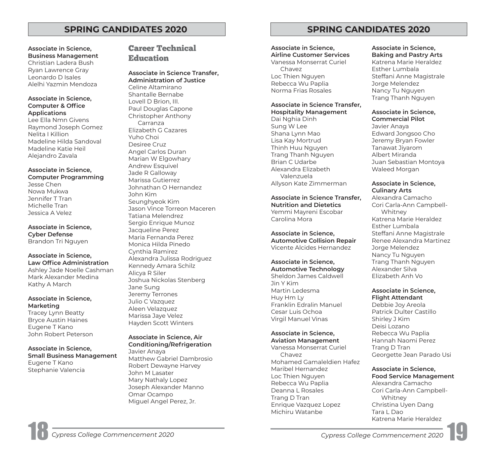# **Associate in Science, Career Technical**<br>
Business Management

# **Business Management** Education Christian Ladera Bush

Ryan Lawrence Gray **Associate in Science Transfer,**<br>
Leonardo D Isales **Administration of Justice**<br>
Alelhi Yazmin Mendoza Celine Altamirano Associate in Science,<br>
Computer & Office<br>
Applications<br>
Lee Ella Nmn Givens<br>
Raymond Joseph Gomez<br>
Nelita I Killion<br>
Madeline Hilda Sandoval<br>
Madeline Katie Heil<br>
Madeline Katie Heil<br>
Alejandro Zavala<br>
Marian W Elgowhary Andrew Esquivel **Associate in Science,** Jade R Galloway **Computer Programming** Marissa Gutierrez Jesse Chen Johnathan O Hernandez Nowa Mukwa John Kim Jennifer T Tran Seunghyeok Kim Michelle Tran Jason Vince Torreon Maceren Jessica A Velez Tatiana Melendrez Sergio Enrique Munoz **Associate in Science,** Jacqueline Perez **Cyber Defense** Maria Fernanda Perez Brandon Tri Nguyen Monica Hilda Pinedo **Associate in Science,**<br> **Law Office Administration**<br> **Alexandra Julissa Rodriguez<br>
Ashley Jade Noelle Cashman<br>
Mark Alexander Medina<br>
Kathy A March<br>
Kathy A March<br>
Mark Alexander Medina<br>
Mark Alexander Medina<br>
Joshua Nick Associate in Science, Marketing and Aleen Velazquez Marketing and Beatty Aleen Velazquez Aleen Velazquez Austin Haines Austin Haines Hayden Scott Winters Eugene T Kano** 

# John Robert Peterson **Associate in Science, Air**

**Conditioning/Refrigeration Associate in Science,** Javier Anaya **Small Business Management** Matthew Gabriel Dambrosio Eugene T Kano Robert Dewayne Harvey Stephanie Valencia John M Lasater Mary Nathaly Lopez Joseph Alexander Manno Omar Ocampo Miguel Angel Perez, Jr.

# **SPRING CANDIDATES 2020 SPRING CANDIDATES 2020**

# **Associate in Science,**

**Airline Customer Services**  Vanessa Monserrat Curiel Chavez Loc Thien Nguyen Rebecca Wu Paplia Norma Frias Rosales

### **Associate in Science Transfer, Hospitality Management**

Dai Nghia Dinh Sung W Lee Shana Lynn Mao Lisa Kay Mortrud Thinh Huu Nguyen Trang Thanh Nguyen Brian C Udarbe Alexandra Elizabeth Valenzuela Allyson Kate Zimmerman

**Associate in Science Transfer, Nutrition and Dietetics**  Yemmi Mayreni Escobar Carolina Mora

### **Associate in Science, Automotive Collision Repair**  Vicente Alcides Hernandez

# **Associate in Science,**

**Automotive Technology**  Sheldon James Caldwell Jin Y Kim Martin Ledesma Huy Hm Ly Franklin Edralin Manuel Cesar Luis Ochoa Virgil Manuel Vinas

# **Associate in Science,**

**Aviation Management**  Vanessa Monserrat Curiel Chavez Mohamed Gamaleldien Hafez Maribel Hernandez Loc Thien Nguyen Rebecca Wu Paplia Deanna L Rosales Trang D Tran Enrique Vazquez Lopez Michiru Watanbe

### **Associate in Science, Baking and Pastry Arts**

Katrena Marie Heraldez Esther Lumbala Steffani Anne Magistrale Jorge Melendez Nancy Tu Nguyen Trang Thanh Nguyen

## **Associate in Science, Commercial Pilot**

Javier Anaya Edward Jongsoo Cho Jeremy Bryan Fowler Tanawat Jiyarom Albert Miranda Juan Sebastian Montoya Waleed Morgan

### **Associate in Science, Culinary Arts**

 Cori Carla-Ann Campbell-Alexandra Camacho Whitney Katrena Marie Heraldez Esther Lumbala Steffani Anne Magistrale Renee Alexandra Martinez Jorge Melendez Nancy Tu Nguyen Trang Thanh Nguyen Alexander Silva Elizabeth Anh Vo

## **Associate in Science, Flight Attendant**

Debbie Joy Areola Patrick Dulter Castillo Shirley J Kim Deisi Lozano Rebecca Wu Paplia Hannah Naomi Perez Trang D Tran Georgette Jean Parado Usi

# **Associate in Science,**

 Cori Carla-Ann Campbell-**Food Service Management**  Alexandra Camacho Whitney Christina Uyen Dang Tara L Dao Katrena Marie Heraldez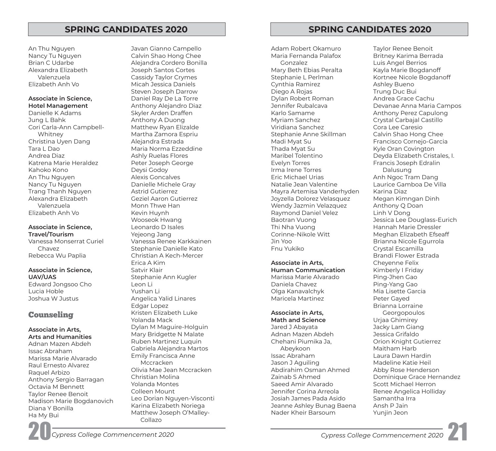An Thu Nguyen Nancy Tu Nguyen Brian C Udarbe Alexandra Elizabeth Valenzuela Elizabeth Anh Vo

### **Associate in Science, Hotel Management**

 Cori Carla-Ann Campbell-Danielle K Adams Jung L Bahk Whitney Christina Uyen Dang Tara L Dao Andrea Diaz Katrena Marie Heraldez Kahoko Kono An Thu Nguyen Nancy Tu Nguyen Trang Thanh Nguyen Alexandra Elizabeth Valenzuela Elizabeth Anh Vo

## **Associate in Science, Travel/Tourism**

Vanessa Monserrat Curiel Chavez Rebecca Wu Paplia

### **Associate in Science, UAV/UAS**

Edward Jongsoo Cho Lucia Hoble Joshua W Justus

# Counseling

### **Associate in Arts, Arts and Humanities**

Adnan Mazen Abdeh Issac Abraham Marissa Marie Alvarado Raul Ernesto Alvarez Raquel Arbizo Anthony Sergio Barragan Octavia M Bennett Taylor Renee Benoit Madison Marie Bogdanovich Diana Y Bonilla Ha My Bui

Calvin Shao Hong Chee The Maria Fernanda Palafox Britney Karima Berrada Alejandra Cordero Bonilla Gonzalez Luis Angel Berrios Joseph Santos Cortes **Mary Beth Ebias Peralta** Kayla Marie Bogdanoff Cassidy Taylor Crymes **Stephanie L Perlman** Kortnee Nicole Bogdanoff Micah Jessica Daniels Cynthia Ramirez Ashley Bueno Steven Joseph Darrow **Steven Joseph Darrow** Diego A Rojas Trung Duc Bui Daniel Ray De La Torre **Disk and Andrea Crace Cachu** Dylan Robert Roman **Andrea Grace Cachu** Anthony Alejandro Diaz Jennifer Rubalcava Devanae Anna Maria Campos Skyler Arden Draffen **Karlo Samame** Karlo Samame Anthony Perez Capulong Anthony A Duong **Music Communist Crystal Carbaial Castillo** Castillo Matthew Ryan Elizalde Viridiana Sanchez Cora Lee Caresio Martha Zamora Espriu Stephanie Anne Skillman Calvin Shao Hong Chee Alejandra Estrada Madi Myat Su Francisco Cornejo-Garcia Maria Norma Ezzeddine Thada Myat Su Thada Myat Su Kyle Oran Covington Ashly Ruelas Flores **Maribel Tolentino** Maribel Tolentino **Maribel Tolentino** Deyda Elizabeth Cristales, I. Peter Joseph George The Torres Francis Joseph Edralin Deysi Godoy Irma Irene Torres Dalusung Alexis Goncalves **Alexis Concalves** Eric Michael Urias Anh Ngoc Tram Dang Danielle Michele Gray Natalie Jean Valentine Laurice Gamboa De Villa Astrid Gutierrez Mayra Artemisa Vanderhyden Karina Diaz Geziel Aaron Gutierrez Joyzella Dolorez Velasquez Megan Kimngan Dinh Monn Thwe Han Wendy Jazmin Velazquez Anthony Q Doan Kevin Huynh **Raymond Daniel Velez** Linh V Dong Wooseok Hwang The Baotran Vuong Theorem Jessica Lee Douglass-Eurich Leonardo D Isales Thi Nha Vuong Hannah Marie Dressler Yejeong Jang Corinne-Nikole Witt Meghan Elizabeth Efseaff Vanessa Renee Karkkainen aan asus van die Jin Yoo Brianna Nicole Egurrola Stephanie Danielle Kato Fnu Yukiko Crystal Escamilla Christian A Kech-Mercer Brandi Flower Estrada Erica A Kim **Associate in Arts,** Cheyenne Felix Satvir Klair **Human Communication** Kimberly I Friday Stephanie Ann Kugler Marissa Marissa Marie Alvarado Leon Li Daniela Chavez Ping-Yang Gao Yushan Li Olga Kanavalchyk Mia Lisette Garcia Angelica Yalid Linares **Maricela Martinez** Martinez **Peter Gayed** Edgar Lopez Brianna Lorraine Kristen Elizabeth Luke **Associate in Arts,** Georgopoulos Yolanda Mack **Math and Science** Urjaa Ghimirey Dylan M Maguire-Holguin Jared J Abayata Jacky Lam Giang Mary Bridgette N Malate Adnan Mazen Abdeh Adnan Mazen Abdeh Jessica Grifaldo Ruben Martinez Luquin Chehani Piumika Ja, Orion Knight Gutierrez Gabriela Alejandra Martos Abeykoon Maitham Harb Emily Francisca Anne **Issac Abraham Issac Abraham** Laura Dawn Hardin Mccracken Jason J Aguiling Madeline Katie Heil Olivia Mae Jean Mccracken Abdirahim Osman Ahmed Abby Rose Henderson Christian Molina Zainab S Ahmed Dominique Grace Hernandez Yolanda Montes Saeed Amir Alvarado Scott Michael Herron Colleen Mount **Colleen Mount Jennifer Corina Arreola** Renee Angelica Holliday Leo Dorian Nguyen-Visconti Josiah James Pada Asido Samantha Irra Karina Elizabeth Noriega **Jeanne Ashley Bunag Baena** Ansh P Jain

# **SPRING CANDIDATES 2020 SPRING CANDIDATES 2020**

Javan Gianno Campello Adam Robert Okamuro Taylor Renee Benoit

Matthew Joseph O'Malley- Nader Kheir Barsoum Nunjin Jeon

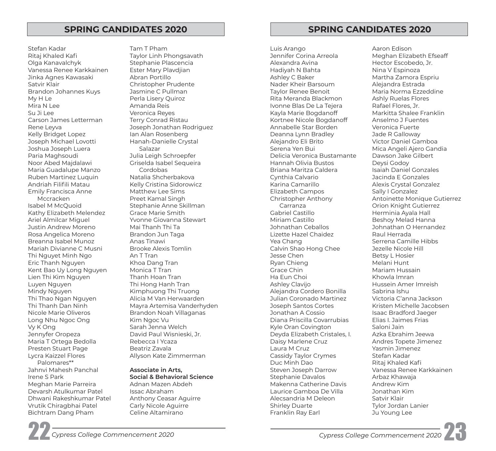Stefan Kadar Ritaj Khaled Kaf Olga Kanavalchyk Vanessa Renee Karkkainen Jinka Agnes Kawasaki Satvir Klair Brandon Johannes Kuys My H Le Mira N Lee Su Ji Lee Carson James Letterman Rene Leyva Kelly Bridget Lopez Joseph Michael Lovotti Joshua Joseph Luera Paria Maghsoudi Noor Abed Majdalawi Maria Guadalupe Manzo Ruben Martinez Luquin Andriah Filifli Matau Emily Francisca Anne Mccracken Isabel M McQuoid Kathy Elizabeth Melendez Ariel Almilcar Miguel Justin Andrew Moreno Rosa Angelica Moreno Breanna Isabel Munoz Mariah Divianne C Musni Thi Nguyet Minh Ngo Eric Thanh Nguyen Kent Bao Uy Long Nguyen Lien Thi Kim Nguyen Luyen Nguyen Mindy Nguyen Thi Thao Ngan Nguyen Thi Thanh Dan Ninh Nicole Marie Oliveros Long Nhu Ngoc Ong Vy K Ong Jennyfer Oropeza Maria T Ortega Bedolla Presten Stuart Page Lycra Kaizzel Flores Palomares\*\* Jahnvi Mahesh Panchal Irene S Park

Meghan Marie Parreira Devarsh Atulkumar Patel Dhwani Rakeshkumar Patel Vrutik Chiragbhai Patel Bichtram Dang Pham

Tam T Pham Taylor Linh Phongsavath Stephanie Plascencia Ester Mary Plavdjian Abran Portillo Christopher Prudente Jasmine C Pullman Perla Lisery Quiroz Amanda Reis Veronica Reyes Terry Conrad Ristau Joseph Jonathan Rodriguez Ian Alan Rosenberg Hanah-Danielle Crystal Salazar Julia Leigh Schroepfer Griselda Isabel Sequeira Cordobas Natalia Shcherbakova Kelly Cristina Sidorowicz Matthew Lee Sims Preet Kamal Singh Stephanie Anne Skillman Grace Marie Smith Yvonne Giovanna Stewart Mai Thanh Thi Ta Brandon Jun Taga Anas Tinawi Brooke Alexis Tomlin An T Tran Khoa Dang Tran Monica T Tran Thanh Hoan Tran Thi Hong Hanh Tran Kimphuong Thi Truong Alicia M Van Herwaarden Mayra Artemisa Vanderhyden Brandon Noah Villaganas Kim Ngoc Vu Sarah Jenna Welch David Paul Wisnieski, Jr. Rebecca I Ycaza Beatriz Zavala Allyson Kate Zimmerman

# **Associate in Arts,**

**Social & Behavioral Science**  Adnan Mazen Abdeh Issac Abraham Anthony Ceasar Aguirre Carly Nicole Aguirre Celine Altamirano

# **SPRING CANDIDATES 2020 SPRING CANDIDATES 2020**

Luis Arango Jennifer Corina Arreola Alexandra Avina Hadiyah N Bahta Ashley C Baker Nader Kheir Barsoum Taylor Renee Benoit Rita Meranda Blackmon Ivonne Blas De La Tejera Kayla Marie Bogdanoff Kortnee Nicole Bogdanoff Annabelle Star Borden Deanna Lynn Bradley Alejandro Eli Brito Serena Yen Bui Delicia Veronica Bustamante Hannah Olivia Bustos Briana Maritza Caldera Cynthia Calvario Karina Camarillo Elizabeth Campos Christopher Anthony Carranza Gabriel Castillo Miriam Castillo Johnathan Ceballos Lizette Hazel Chaidez Yea Chang Calvin Shao Hong Chee Jesse Chen Ryan Chieng Grace Chin Ha Eun Choi Ashley Clavijo Alejandra Cordero Bonilla Julian Coronado Martinez Joseph Santos Cortes Jonathan A Cossio Diana Priscilla Covarrubias Kyle Oran Covington Deyda Elizabeth Cristales, I. Daisy Marlene Cruz Laura M Cruz Cassidy Taylor Crymes Duc Minh Dao Steven Joseph Darrow Stephanie Davalos Makenna Catherine Davis Laurice Gamboa De Villa Alecsandria M Deleon Shirley Duarte Franklin Ray Earl

Aaron Edison Meghan Elizabeth Efseaff Hector Escobedo, Jr. Nina V Espinoza Martha Zamora Espriu Alejandra Estrada Maria Norma Ezzeddine Ashly Ruelas Flores Rafael Flores, Jr. Markitta Shalee Franklin Anselmo J Fuentes Veronica Fuerte Jade R Galloway Victor Daniel Gamboa Mica Angeli Ajero Gandia Dawson Jake Gilbert Deysi Godoy Isaiah Daniel Gonzales Jacinda E Gonzales Alexis Crystal Gonzalez Sally I Gonzalez Antoinette Monique Gutierrez Orion Knight Gutierrez Herminia Ayala Hall Beshoy Melad Hanna Johnathan O Hernandez Raul Herrada Serrena Camille Hibbs Jezelle Nicole Hill Betsy L Hosier Melani Hunt Mariam Hussain Khowla Imran Hussein Amer Imreish Sabrina Ishu Victoria C'anna Jackson Kristen Michelle Jacobsen Isaac Bradford Jaeger Elias I. Jaimes Frias Saloni Jain Azka Ebrahim Jeewa Andres Topete Jimenez Yasmin Jimenez Stefan Kadar Ritaj Khaled Kaf Vanessa Renee Karkkainen Arbaz Khawaja Andrew Kim Jonathan Kim Satvir Klair Tylor Jordan Lanier Ju Young Lee

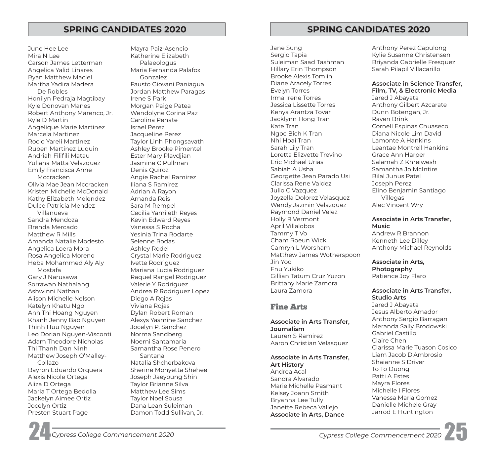Matthew Joseph O'Malley-June Hee Lee Mira N Lee Carson James Letterman Angelica Yalid Linares Ryan Matthew Maciel Martha Yadira Madera De Robles Honilyn Pedraja Magtibay Kyle Donovan Manes Robert Anthony Marenco, Jr. Kyle D Martin Angelique Marie Martinez Marcela Martinez Rocio Yareli Martinez Ruben Martinez Luquin Andriah Filifli Matau Yuliana Matta Velazquez Emily Francisca Anne Mccracken Olivia Mae Jean Mccracken Kristen Michelle McDonald Kathy Elizabeth Melendez Dulce Patricia Mendez Villanueva Sandra Mendoza Brenda Mercado Matthew R Mills Amanda Natalie Modesto Angelica Loera Mora Rosa Angelica Moreno Heba Mohammed Aly Aly Mostafa Gary J Narusawa Sorrawan Nathalang Ashwinni Nathan Alison Michelle Nelson Katelyn Khatu Ngo Anh Thi Hoang Nguyen Khanh Jenny Bao Nguyen Thinh Huu Nguyen Leo Dorian Nguyen-Visconti Adam Theodore Nicholas Thi Thanh Dan Ninh Collazo Bayron Eduardo Orquera Alexis Nicole Ortega Aliza D Ortega Maria T Ortega Bedolla Jackelyn Aimee Ortiz Jocelyn Ortiz Presten Stuart Page

Mayra Paiz-Asencio Katherine Elizabeth Palaeologus Maria Fernanda Palafox Gonzalez Fausto Giovani Paniagua Jordan Matthew Paragas Irene S Park Morgan Paige Patea Wendolyne Corina Paz Carolina Penate Israel Perez Jacqueline Perez Taylor Linh Phongsavath Ashley Brooke Pimentel Ester Mary Plavdjian Jasmine C Pullman Denis Quiroz Angie Rachel Ramirez Iliana S Ramirez Adrian A Rayon Amanda Reis Sara M Rempel Cecilia Yamileth Reyes Kevin Edward Reyes Vanessa S Rocha Yesinia Trina Rodarte Selenne Rodas Ashley Rodel Crystal Marie Rodriguez Ivette Rodriguez Mariana Lucia Rodriguez Raquel Rangel Rodriguez Valerie Y Rodriguez Andrea R Rodriguez Lopez Diego A Rojas Viviana Rojas Dylan Robert Roman Alexys Yasmine Sanchez Jocelyn P. Sanchez Norma Sandberg Noemi Santamaria Samantha Rose Penero Santana Natalia Shcherbakova Sherine Monyetta Shehee Joseph Jaeyoung Shin Taylor Brianne Silva Matthew Lee Sims Taylor Noel Sousa Dana Lean Suleiman Damon Todd Sullivan, Jr.

# **SPRING CANDIDATES 2020 SPRING CANDIDATES 2020**

Jane Sung Sergio Tapia Suleiman Saad Tashman Hillary Erin Thompson Brooke Alexis Tomlin Diane Aracely Torres Evelyn Torres Irma Irene Torres Jessica Lissette Torres Kenya Arantza Tovar Jacklynn Hong Tran Kate Tran Ngoc Bich K Tran Nhi Hoai Tran Sarah Lily Tran Loretta Elizvette Trevino Eric Michael Urias Sabiah A Usha Georgette Jean Parado Usi Clarissa Rene Valdez Julio C Vazquez Joyzella Dolorez Velasquez Wendy Jazmin Velazquez Raymond Daniel Velez Holly R Vermont April Villalobos Tammy T Vo Cham Roeun Wick Camryn L Worsham Matthew James Wotherspoon Jin Yoo Fnu Yukiko Gillian Tatum Cruz Yuzon Brittany Marie Zamora Laura Zamora

# Fine Arts

**Associate in Arts Transfer, Journalism**  Lauren S Ramirez

Aaron Christian Velasquez

**Associate in Arts Transfer, Art History**  Andrea Acal Sandra Alvarado Marie Michelle Pasmant Kelsey Joann Smith Bryanna Lee Tully

Janette Rebeca Vallejo **Associate in Arts, Dance**  Anthony Perez Capulong Kylie Susanne Christensen Briyanda Gabrielle Fresquez Sarah Pilapil Villacarillo

### **Associate in Science Transfer, Film, TV, & Electronic Media**

Jared J Abayata Anthony Gilbert Azcarate Dunn Botengan, Jr. Raven Brink Cornell Espinas Chuaseco Diana Nicole Lim David Lamonte A Hankins Leantae Montrell Hankins Grace Ann Harper Salamah Z Khreiwesh Samantha Jo McIntire Bilal Junus Patel Joseph Perez Elino Benjamin Santiago Villegas Alec Vincent Wry

**Associate in Arts Transfer, Music** 

Andrew R Brannon Kenneth Lee Dilley Anthony Michael Reynolds

**Associate in Arts, Photography**  Patience Joy Flaro

**Associate in Arts Transfer, Studio Arts**  Jared J Abayata Jesus Alberto Amador Anthony Sergio Barragan Meranda Sally Brodowski Gabriel Castillo Claire Chen Clarissa Marie Tuason Cosico Liam Jacob D'Ambrosio Shaianne S Driver To To Duong Patti A Estes Mayra Flores Michelle I Flores Vanessa Maria Gomez Danielle Michele Gray Jarrod E Huntington

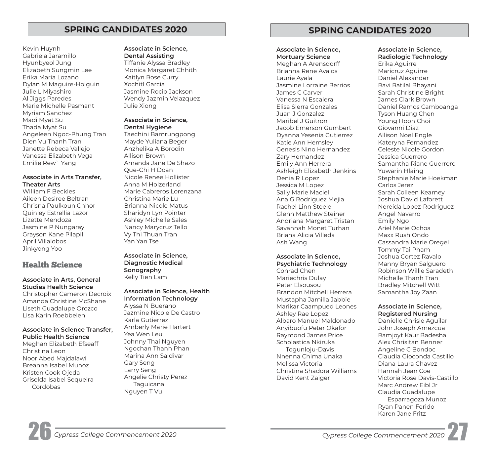# **SPRING CANDIDATES 2020 SPRING CANDIDATES 2020**

Kevin Huynh Gabriela Jaramillo Hyunbyeol Jung Elizabeth Sungmin Lee Erika Maria Lozano Dylan M Maguire-Holguin Julie L Miyashiro Al Jiggs Paredes Marie Michelle Pasmant Myriam Sanchez Madi Myat Su Thada Myat Su Angeleen Ngoc-Phung Tran Dien Vu Thanh Tran Janette Rebeca Vallejo Vanessa Elizabeth Vega Emilie Rew` Yang

## **Associate in Arts Transfer, Theater Arts**

William F Beckles Aileen Desiree Beltran Chrisna Paulkoun Chhor Quinley Estrellia Lazor Lizette Mendoza Jasmine P Nungaray Grayson Kane Pilapil April Villalobos Jinkyong Yoo

# Health Science

### **Associate in Arts, General Studies Health Science**

Christopher Cameron Decroix Amanda Christine McShane Liseth Guadalupe Orozco Lisa Karin Roebbelen

### **Associate in Science Transfer, Public Health Science**

Meghan Elizabeth Efseaff Christina Leon Noor Abed Majdalawi Breanna Isabel Munoz Kristen Cook Ojeda Griselda Isabel Sequeira Cordobas

### **Associate in Science, Dental Assisting**

Tiffanie Alyssa Bradley Monica Margaret Chhith Kaitlyn Rose Curry Xochitl Garcia Jasmine Rocio Jackson Wendy Jazmin Velazquez Julie Xiong

### **Associate in Science, Dental Hygiene**

Taechini Bamrungpong Mayde Yuliana Beger Anzhelika A Borodin Allison Brown Amanda Jane De Shazo Que-Chi H Doan Nicole Renee Hollister Anna M Holzerland Marie Cabreros Lorenzana Christina Marie Lu Brianna Nicole Matus Sharidyn Lyn Pointer Ashley Michelle Sales Nancy Marycruz Tello Vy Thi Thuan Tran Yan Yan Tse

**Associate in Science, Diagnostic Medical Sonography**  Kelly Tien Lam

### **Associate in Science, Health Information Technology**  Alyssa N Buerano Jazmine Nicole De Castro Karla Gutierrez Amberly Marie Hartert Yea Wen Leu Johnny Thai Nguyen Ngochan Thanh Phan Marina Ann Saldivar Gary Seng Larry Seng Angelie Christy Perez Taguicana Nguyen T Vu

# **Associate in Science, Mortuary Science**

Meghan A Arensdorff Brianna Rene Avalos Laurie Ayala Jasmine Lorraine Berrios James C Carver Vanessa N Escalera Elisa Sierra Gonzales Juan J Gonzalez Maribel J Guitron Jacob Emerson Gumbert Dyanna Yesenia Gutierrez Katie Ann Hemsley Genesis Nino Hernandez Zary Hernandez Emily Ann Herrera Ashleigh Elizabeth Jenkins Denia R Lopez Jessica M Lopez Sally Marie Maciel Ana G Rodriguez Mejia Rachel Linn Steele Glenn Matthew Steiner Andriana Margaret Tristan Savannah Monet Turhan Briana Alicia Villeda Ash Wang

### **Associate in Science, Psychiatric Technology**

Conrad Chen Mariechris Dulay Peter Elsousou Brandon Mitchell Herrera Mustapha Jamilla Jabbie Marikar Caampued Leones Ashley Rae Lopez Albaro Manuel Maldonado Anyibuofu Peter Okafor Raymond James Price Scholastica Nkiruka Togunloju-Davis Nnenna Chima Unaka Melissa Victoria Christina Shadora Williams David Kent Zaiger

### **Associate in Science, Radiologic Technology**

Erika Aguirre Maricruz Aguirre Daniel Alexander Ravi Ratilal Bhayani Sarah Christine Bright James Clark Brown Daniel Ramos Camboanga Tyson Huang Chen Young Hoon Choi Giovanni Diaz Allison Noel Engle Kateryna Fernandez Celeste Nicole Gordon Jessica Guerrero Samantha Riane Guerrero Yuwarin Hlaing Stephanie Marie Hoekman Carlos Jerez Sarah Colleen Kearney Joshua David Laforett Nereida Lopez-Rodriguez Angel Navarro Emily Ngo Ariel Marie Ochoa Maxx Rush Ondo Cassandra Marie Oregel Tommy Tai Pham Joshua Cortez Ravalo Manny Bryan Salguero Robinson Willie Saradeth Michelle Thanh Tran Bradley Mitchell Witt Samantha Joy Zaan

## **Associate in Science, Registered Nursing**

Danielle Chrisie Aguilar John Joseph Amezcua Ramjoyt Kaur Badesha Alex Chrisitan Benner Angeline C Bondoc Claudia Gioconda Castillo Diana Laura Chavez Hannah Jean Coe Victoria Rose Davis-Castillo Marc Andrew Eibl Jr Claudia Guadalupe Esparragoza Munoz Ryan Panen Ferido Karen Jane Fritz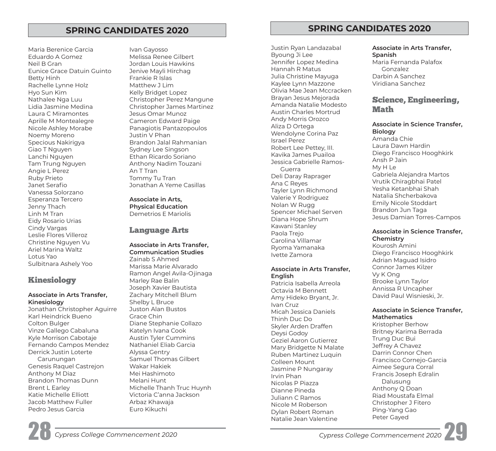Maria Berenice Garcia Eduardo A Gomez Neil B Gran Eunice Grace Datuin Guinto Betty Hinh Rachelle Lynne Holz Hyo Sun Kim Nathalee Nga Luu Lidia Jasmine Medina Laura C Miramontes Aprille M Montealegre Nicole Ashley Morabe Noemy Moreno Specious Nakirigya Giao T Nguyen Lanchi Nguyen Tam Trung Nguyen Angie L Perez Ruby Prieto Janet Serafio Vanessa Solorzano Esperanza Tercero Jenny Thach Linh M Tran Eidy Rosario Urias Cindy Vargas Leslie Flores Villeroz Christine Nguyen Vu Ariel Marina Waltz Lotus Yao Sulbitnara Ashely Yoo

# Kinesiology

## **Associate in Arts Transfer, Kinesiology**

Jonathan Christopher Aguirre Karl Heindrick Bueno Colton Bulger Vinze Gallego Cabaluna Kyle Morrison Cabotaje Fernando Campos Mendez Derrick Justin Loterte Carunungan Genesis Raquel Castrejon Anthony M Diaz Brandon Thomas Dunn Brent L Earley Katie Michelle Elliott Jacob Matthew Fuller Pedro Jesus Garcia

Ivan Gayosso Melissa Renee Gilbert Jordan Louis Hawkins Jenive Mayli Hirchag Frankie R Islas Matthew J Lim Kelly Bridget Lopez Christopher Perez Mangune Christopher James Martinez Jesus Omar Munoz Cameron Edward Paige Panagiotis Pantazopoulos Justin V Phan Brandon Jalal Rahmanian Sydney Lee Singson Ethan Ricardo Soriano Anthony Nadim Touzani An T Tran Tommy Tu Tran Jonathan A Yeme Casillas

**Associate in Arts, Physical Education**  Demetrios E Mariolis

# Language Arts

### **Associate in Arts Transfer, Communication Studies**  Zainab S Ahmed Marissa Marie Alvarado Ramon Angel Avila-Ojinaga Marley Rae Balin Joseph Xavier Bautista Zachary Mitchell Blum Shelby L Bruce Juston Alan Bustos Grace Chin Diane Stephanie Collazo Katelyn Ivana Cook Austin Tyler Cummins Nathaniel Eliab Garcia Alyssa Gentry Samuel Thomas Gilbert Wakar Hakiek Mei Hashimoto Melani Hunt Michelle Thanh Truc Huynh Victoria C'anna Jackson Arbaz Khawaja Euro Kikuchi

**SPRING CANDIDATES 2020 SPRING CANDIDATES 2020** 

Byoung Ji Lee **Spanish**  Jennifer Lopez Medina **Maria Fernanda Palafox** Hannah R Matus Gonzalez Julia Christine Mayuga Darbin A Sanchez Kaylee Lynn Mazzone Viridiana Sanchez Olivia Mae Jean Mccracken Austin Charles Mortrud Andy Morris Orozco **Wendolyne Corina Paz** Amanda Chie Israel Perez Robert Lee Pettey, III. Jessica Gabrielle Ramos-Guerra My H Le Deli Daray Raprager Gabriela Alejandra Martos Ana C Reyes Vrutik Chiragbhai Patel Yesha Ketanbhai Shah Tayler Lynn Richmond Valerie Y Rodriguez Nolan W Rugg **Emily Nicole Stoddart**<br>
Spencer Michael Serven Brandon Jun Taga Spencer Michael Serven Diana Hope Shrum Jesus Damian Torres-Campos Kawani Stanley Carolina Villamar **Chemistry**  Ryoma Yamanaka

# Associate in Arts Transfer, Connor James Kilzer

Patricia Isabella Arreola Brooke Lynn Taylor<br>Octavia M Bonnett Annissa R Uncapher Octavia M Bennett Annissa R Uncapher Amy Hideko Bryant, Jr. Ivan Cruz **Mathematics** Thinh Duc Do Skyler Arden Draffen Deysi Godoy Britney Karima Berrada Geziel Aaron Gutierrez Trung Duc Bui Mary Bridgette N Malate Four Defirey A Chavez<br>Dubon Martinez Luquin Four Darrin Connor Chen Ruben Martinez Luquin Aimee Segura Corral Jasmine P Nungaray Francis Joseph Edralin Irvin Phan Nicolas P Piazza Dianne Pineda Anthony Q Doan Riad Moustafa Elmal Juliann C Ramos Nicole M Roberson Christopher J Fitero Dylan Robert Roman Ping-Yang Gaos<br>Natalie Jean Valentine Peter Gayed Natalie Jean Valentine

Justin Ryan Landazabal **Associate in Arts Transfer,** 

# Brayan Jesus Mejorada<br>Amanda Natalie Modesto<br>Austin Charles Martweal

# Aliza D Ortega **Associate in Science Transfer,**

Kavika James Puailoa Diego Francisco Hooghkirk

# Paola Trejo **Associate in Science Transfer,**

Diego Francisco Hooghkirk Ivette Zamora Adrian Maguad Isidro **English** Vy K Ong

# Micah Jessica Daniels **Associate in Science Transfer,**

Colleen Mount Francisco Cornejo-Garcia

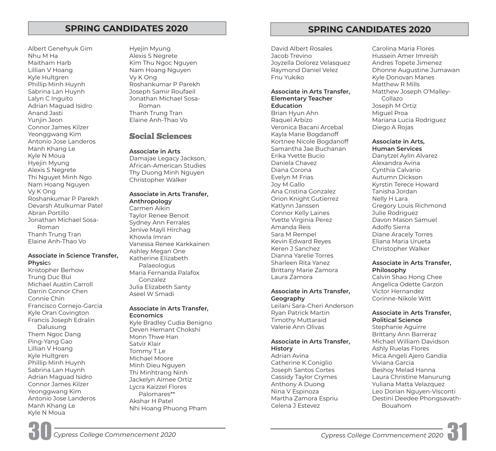Albert Genehyuk Gim Hyejin Myung Nhu M Ha **Alexis S** Negrete Maitham Harb Kim Thu Ngoc Nguyen Lillian V Hoang Nam Hoang Nguyen Kyle Hultgren Vy K Ong Phillip Minh Huynh Roshankumar P Parekh Sabrina Lan Huynh Joseph Samir Roufaeil Lalyn C Inguito Jonathan Michael Sosa-Adrian Maguad Isidro **Roman** Anand Jasti **Thanh Trung Tran** Yunjin Jeon Elaine Anh-Thao Vo Connor James Kilzer Yeonggwang Kim<br>Antonio Jose Landeros **Social Sciences** Manh Khang Le **Associate in Arts**  Kyle N Moua Damajae Legacy Jackson, Hyejin Myung African-American Studies Alexis S Negrete Frank States Thy Duong Minh Nguyen<br>Thi Nguyet Minh Ngo Frank Christopher Walker Nam Hoang Nguyen Vy K Ong **Associate in Arts Transfer,<br>
Roshankumar P Parekh <b>Anthropology**<br>
Devarsh Atulkumar Patel Carmen Aikin<br>
Abran Portillo Abran Portillo Taylor Renee Benoit<br>Jonathan Michael Sosa- Sydney Ann Ferrales<br>Roman Jenive Mayli Hirchag<br>Thanh Trung Tran Khowla Imran

Trung Duc Bui Gonzalez Michael Austin Carroll Julia Elizabeth Santy<br>Darrin Connor Chen Aseel W Smadi Connie Chin Francisco Cornejo-Garcia **Associate in Arts Transfer,**<br>
Kyle Oran Covington **Economics**<br>
Francis Joseph Edralin Them Ngoc Dang Monn Thwe Han Ping-Yang Gao Satvir Klair (1990)<br>Lillian V Hoang Satvir Klair (1991) Lillian V Hoang<br>Kyle Hultgren Michael Moore<br>Phillip Minh Huynh Minh Minh Dieu Nau Phillip Minh Huynh Minh Dieu Nguyen<br>Sabrina Lan Huynh Thi Minh Dieu Nguyen<br>Adrian Maguad Isidro Jackelyn Aimee Ortiz<br>Connor James Kilzer Lycra Kaizzel Flores<br>Yeonggwang Kim Palomares\*\* Antonio Jose Landeros Akshar H Patel Manh Khang Le Nhi Hoang Phuong Pham<br>Kyle N Moua

Elaine Anh-Thao Vo Vanessa Renee Karkkainen Associate in Science Transfer, <sup>Ashley Megan One</sup><br> **Physic**s Physics Palaeologus<br>Kristopher Berhow Maria Fernanda Palafox

Francis Joseph Edralin Kyle Bradley Cudia Benigno Dalusung Deven Hemant Chokshi

# **SPRING CANDIDATES 2020 SPRING CANDIDATES 2020**

David Albert Rosales Jacob Trevino Joyzella Dolorez Velasquez Raymond Daniel Velez Fnu Yukiko

### **Associate in Arts Transfer, Elementary Teacher Education**

Brian Hyun Ahn Raquel Arbizo Veronica Bacani Arcebal Kayla Marie Bogdanoff Kortnee Nicole Bogdanoff Samantha Jae Buchanan Erika Yvette Bucio Daniela Chavez Diana Corona Evelyn M Frias Joy M Gallo Ana Cristina Gonzalez Orion Knight Gutierrez Katlynn Janssen Connor Kelly Laines Yvette Virginia Perez Amanda Reis Sara M Rempel Kevin Edward Reyes Keren J Sanchez Dianna Yarelie Torres Sharleen Rita Yanez Brittany Marie Zamora Laura Zamora

### **Associate in Arts Transfer, Geography**

Leilani Sara-Cheri Anderson Ryan Patrick Martin Timothy Muttaraid Valerie Ann Olivas

# **Associate in Arts Transfer, History**

Adrian Avina Catherine K Coniglio Joseph Santos Cortes Cassidy Taylor Crymes Anthony A Duong Nina V Espinoza Martha Zamora Espriu Celena J Estevez

 Matthew Joseph O'Malley-Carolina Maria Flores Hussein Amer Imreish Andres Topete Jimenez Dhonne Augustine Jumawan Kyle Donovan Manes Matthew R Mills Collazo Joseph M Ortiz Miguel Proa Mariana Lucia Rodriguez Diego A Rojas

# **Associate in Arts,**

**Human Services**  Danytzel Aylin Alvarez Alexandra Avina Cynthia Calvario Autumn Dickson Kyrstin Terece Howard Tanisha Jordan Nelly H Lara Gregory Louis Richmond Julie Rodriguez Davon Mason Samuel Adolfo Sierra Diane Aracely Torres Eliana Maria Urueta Christopher Walker

### **Associate in Arts Transfer, Philosophy**

Calvin Shao Hong Chee Angelica Odette Garzon Victor Hernandez Corinne-Nikole Witt

# **Associate in Arts Transfer, Political Science**

 Destini Deedee Phongsavath-Stephanie Aguirre Brittany Ann Barreraz Michael William Davidson Ashly Ruelas Flores Mica Angeli Ajero Gandia Viviana Garcia Beshoy Melad Hanna Laura Christine Manurung Yuliana Matta Velazquez Leo Dorian Nguyen-Visconti Bouahom

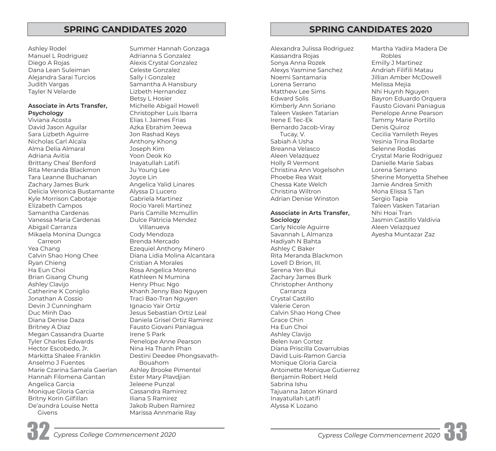Givens Marissa Annmarie Ray

Ashley Rodel Summer Hannah Gonzaga Alexandra Julissa Rodriguez Martha Yadira Madera De Manuel L Rodriguez Adrianna S Gonzalez Kassandra Rojas Robles Diego A Rojas Christian Alexis Crystal Gonzalez Christian Anna Rozek Emilly J Martinez Dana Lean Suleiman Celeste Gonzalez Alexys Yasmine Sanchez Andriah Filifli Matau Alejandra Sarai Turcios Sally I Gonzalez Noemi Santamaria Jillian Amber McDowell Judith Vargas Samantha A Hansbury Lorena Serrano Melissa Mejia Tayler N Velarde **Lizbeth Hernandez** Communication Matthew Lee Sims Nhi Huynh Nguyen Betsy L Hosier Edward Solis Bayron Eduardo Orquera Associate in Arts Transfer, Michelle Abigail Howell **Kimberly Ann Soriano** Fausto Giovani Paniagua **Psychology** Christopher Luis Ibarra Taleen Vasken Tatarian Penelope Anne Pearson Viviana Acosta **International Elias I. Jaimes Frias** II. Script Liberal Correspondent Liberal Tammy Marie Portillo David Jason Aguilar Azka Ebrahim Jeewa Bernardo Jacob-Viray Denis Quiroz Sara Lizbeth Aguirre Jon Rashad Keys Tucay, V. Cecilia Yamileth Reyes Nicholas Carl Alcala Anthony Khong Sabiah A Usha Yesinia Trina Rodarte Alma Delia Almaral Joseph Kim Breanna Velasco Selenne Rodas Adriana Avitia Yoon Deok Ko Aleen Velazquez Crystal Marie Rodriguez Brittany Chea' Benford **Inayatullah Latifi** Inatic Holly R Vermont Danielle Marie Sabas Rita Meranda Blackmon Ju Young Lee Christina Ann Vogelsohn Lorena Serrano Tara Leanne Buchanan Joyce Lin Phoebe Rea Wait Sherine Monyetta Shehee Zachary James Burk Angelica Yalid Linares Chessa Kate Welch Jamie Andrea Smith Delicia Veronica Bustamante Alyssa D Lucero New York Christina Wiltron Nona Elissa S Tan Kyle Morrison Cabotaje **Gabriela Martinez Martinez Adrian Denise Winston** Sergio Tapia Elizabeth Campos Rocio Yareli Martinez Taleen Vasken Tatarian Samantha Cardenas **Paris Camille Mcmullin Associate in Arts Transfer,** Nhi Hoai Tran Vanessa Maria Cardenas Dulce Patricia Mendez **Sociology** Jasmin Castillo Valdivia Abigail Carranza **Carly Access 2018** Villanueva Carly Nicole Aguirre Aleen Velazquez Mikaela Monina Dungca Cody Mendoza Savannah L Almanza Ayesha Muntazar Zaz Carreon Brenda Mercado Hadiyah N Bahta Yea Chang The Chang Ezequiel Anthony Minero The Ashley C Baker Calvin Shao Hong Chee Diana Lidia Molina Alcantara Rita Meranda Blackmon Ryan Chieng Cristian A Morales Cristian A Morales Chief Lovell D Brion, III. Ha Eun Choi Rosa Angelica Moreno Serena Yen Bui Brian Gisang Chung Kathleen N Mumina Theorem 2 Zachary James Burk Ashley Clavijo **Henry Phuc Ngo Christopher Anthony** Ashley Christopher Anthony Catherine K Coniglio Khanh Jenny Bao Nguyen Carranza Jonathan A Cossio **Traci Bao-Tran Nguyen** Crystal Castillo Devin J Cunningham Ignacio Yair Ortiz Valerie Ceron Duc Minh Dao **Jesus Sebastian Ortiz Leal** Calvin Shao Hong Chee Diana Denise Daza Daniela Grisel Ortiz Ramirez Grace Chin Britney A Diaz **Fausto Giovani Paniagua** Fausto Giovani Paniagua Megan Cassandra Duarte Irene S Park Ashley Clavijo Tyler Charles Edwards **Penelope Anne Pearson** Pearson Belen Ivan Cortez Hector Escobedo, Jr. Nina Ha Thanh Phan Diana Priscilla Covarrubias Markitta Shalee Franklin Destini Deedee Phongsavath- David Luis-Ramon Garcia Anselmo J Fuentes Bouahom Monique Gloria Garcia Marie Czarina Samala Gaerlan Ashley Brooke Pimentel **Antoinette Monique Gutierrez** Hannah Filomena Gantan **Ester Mary Plavdjian** Benjamin Robert Held Angelica Garcia Jeleene Punzal Sabrina Ishu Monique Gloria Garcia Cassandra Ramirez Tajuanna Jaton Kinard Britny Korin Gilfillan III Iliana S Ramirez Inayatullah Latifi De'aundra Louise Netta Jakob Ruben Ramirez Alyssa K Lozano

# **SPRING CANDIDATES 2020 SPRING CANDIDATES 2020**

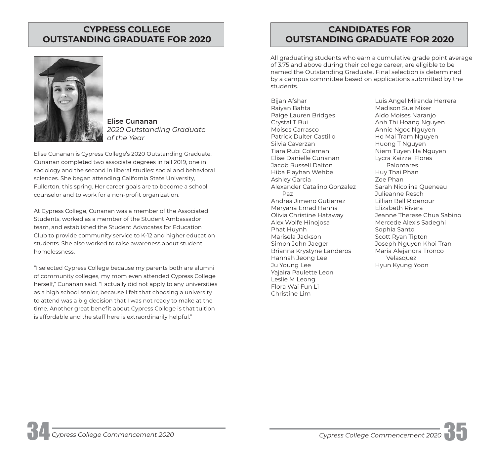# **CYPRESS COLLEGE OUTSTANDING GRADUATE FOR 2020**



**Elise Cunanan**  *2020 Outstanding Graduate of the Year* 

Elise Cunanan is Cypress College's 2020 Outstanding Graduate. Cunanan completed two associate degrees in fall 2019, one in sociology and the second in liberal studies: social and behavioral sciences. She began attending California State University, Fullerton, this spring. Her career goals are to become a school counselor and to work for a non-profit organization.

At Cypress College, Cunanan was a member of the Associated Students, worked as a member of the Student Ambassador team, and established the Student Advocates for Education Club to provide community service to K-12 and higher education students. She also worked to raise awareness about student homelessness.

"I selected Cypress College because my parents both are alumni of community colleges, my mom even attended Cypress College herself," Cunanan said. "I actually did not apply to any universities as a high school senior, because I felt that choosing a university to attend was a big decision that I was not ready to make at the time. Another great benefit about Cypress College is that tuition is affordable and the staff here is extraordinarily helpful."

# **CANDIDATES FOR OUTSTANDING GRADUATE FOR 2020**

All graduating students who earn a cumulative grade point average of 3.75 and above during their college career, are eligible to be named the Outstanding Graduate. Final selection is determined by a campus committee based on applications submitted by the students.

Bijan Afshar Raiyan Bahta Paige Lauren Bridges Crystal T Bui Moises Carrasco Patrick Dulter Castillo Silvia Caverzan Tiara Rubi Coleman Elise Danielle Cunanan Jacob Russell Dalton Hiba Flayhan Wehbe Ashley Garcia Alexander Catalino Gonzalez Paz Andrea Jimeno Gutierrez Meryana Emad Hanna Olivia Christine Hataway Alex Wolfe Hinojosa Phat Huynh Marisela Jackson Simon John Jaeger Brianna Krystyne Landeros Hannah Jeong Lee Ju Young Lee Yajaira Paulette Leon Leslie M Leong Flora Wai Fun Li Christine Lim

Luis Angel Miranda Herrera Madison Sue Mixer Aldo Moises Naranjo Anh Thi Hoang Nguyen Annie Ngoc Nguyen Ho Mai Tram Nguyen Huong T Nguyen Niem Tuyen Ha Nguyen Lycra Kaizzel Flores Palomares Huy Thai Phan Zoe Phan Sarah Nicolina Queneau Julieanne Resch Lillian Bell Ridenour Elizabeth Rivera Jeanne Therese Chua Sabino Mercede Alexis Sadeghi Sophia Santo Scott Ryan Tipton Joseph Nguyen Khoi Tran Maria Alejandra Tronco Velasquez Hyun Kyung Yoon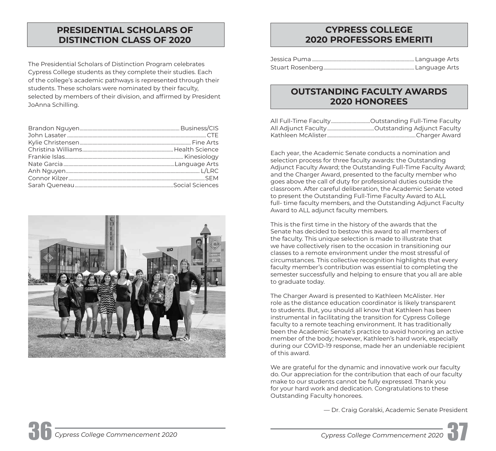# **PRESIDENTIAL SCHOLARS OF DISTINCTION CLASS OF 2020**

The Presidential Scholars of Distinction Program celebrates Cypress College students as they complete their studies. Each of the college's academic pathways is represented through their students. These scholars were nominated by their faculty, selected by members of their division, and affirmed by President JoAnna Schilling.



# **CYPRESS COLLEGE 2020 PROFESSORS EMERITI**

# **OUTSTANDING FACULTY AWARDS 2020 HONOREES**

Each year, the Academic Senate conducts a nomination and selection process for three faculty awards: the Outstanding Adjunct Faculty Award; the Outstanding Full-Time Faculty Award; and the Charger Award, presented to the faculty member who goes above the call of duty for professional duties outside the classroom. After careful deliberation, the Academic Senate voted to present the Outstanding Full-Time Faculty Award to ALL full- time faculty members, and the Outstanding Adjunct Faculty Award to ALL adjunct faculty members.

This is the first time in the history of the awards that the Senate has decided to bestow this award to all members of the faculty. This unique selection is made to illustrate that we have collectively risen to the occasion in transitioning our classes to a remote environment under the most stressful of circumstances. This collective recognition highlights that every faculty member's contribution was essential to completing the semester successfully and helping to ensure that you all are able to graduate today.

The Charger Award is presented to Kathleen McAlister. Her role as the distance education coordinator is likely transparent to students. But, you should all know that Kathleen has been instrumental in facilitating the transition for Cypress College faculty to a remote teaching environment. It has traditionally been the Academic Senate's practice to avoid honoring an active member of the body; however, Kathleen's hard work, especially during our COVID-19 response, made her an undeniable recipient of this award.

We are grateful for the dynamic and innovative work our faculty do. Our appreciation for the contribution that each of our faculty make to our students cannot be fully expressed. Thank you for your hard work and dedication. Congratulations to these Outstanding Faculty honorees.

— Dr. Craig Goralski, Academic Senate President

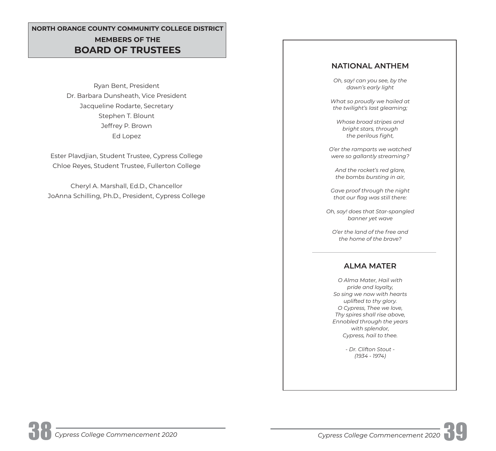# **NORTH ORANGE COUNTY COMMUNITY COLLEGE DISTRICT MEMBERS OF THE BOARD OF TRUSTEES**

Ryan Bent, President Dr. Barbara Dunsheath, Vice President Jacqueline Rodarte, Secretary Stephen T. Blount Jeffrey P. Brown Ed Lopez

Ester Plavdjian, Student Trustee, Cypress College Chloe Reyes, Student Trustee, Fullerton College

Cheryl A. Marshall, Ed.D., Chancellor JoAnna Schilling, Ph.D., President, Cypress College

# **NATIONAL ANTHEM**

*Oh, say! can you see, by the dawn's early light* 

*What so proudly we hailed at the twilight's last gleaming;* 

*Whose broad stripes and bright stars, through*  the perilous fight,

*O'er the ramparts we watched were so gallantly streaming?* 

*And the rocket's red glare, the bombs bursting in air,* 

*Gave proof through the night*  that our flag was still there:

*Oh, say! does that Star-spangled banner yet wave* 

*O'er the land of the free and the home of the brave?* 

# **ALMA MATER**

*O Alma Mater, Hail with pride and loyalty, So sing we now with hearts uplifted to thy glory. O Cypress, Thee we love, Thy spires shall rise above, Ennobled through the years with splendor, Cypress, hail to thee.* 

> *- Dr. Clifton Stout - (1934 - 1974)*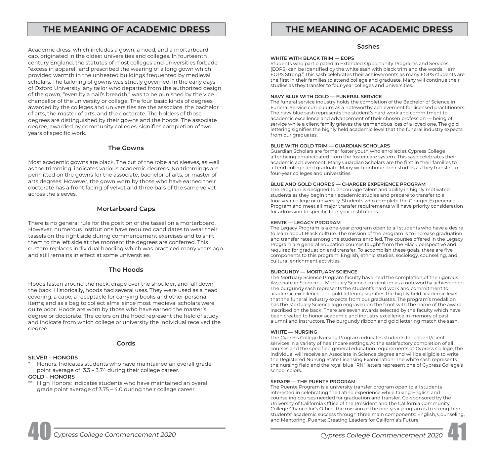Academic dress, which includes a gown, a hood, and a mortarboard cap, originated in the oldest universities and colleges. In fourteenth century England, the statutes of most colleges and universities forbade "excess in apparel" and prescribed the wearing of a long gown which provided warmth in the unheated buildings frequented by medieval scholars. The tailoring of gowns was strictly governed. In the early days of Oxford University, any tailor who departed from the authorized design of the gown, "even by a nail's breadth," was to be punished by the vice chancellor of the university or college. The four basic kinds of degrees awarded by the colleges and universities are the associate, the bachelor of arts, the master of arts, and the doctorate. The holders of those degrees are distinguished by their gowns and the hoods. The associate degree, awarded by community colleges, signifies completion of two years of specific work.

### **The Gowns**

Most academic gowns are black. The cut of the robe and sleeves, as well as the trimming, indicates various academic degrees. No trimmings are permitted on the gowns for the associate, bachelor of arts, or master of arts degrees. However, the gown worn by those who have earned their doctorate has a front facing of velvet and three bars of the same velvet across the sleeves.

### **Mortarboard Caps**

There is no general rule for the position of the tassel on a mortarboard. However, numerous institutions have required candidates to wear their tassels on the right side during commencement exercises and to shift them to the left side at the moment the degrees are conferred. This custom replaces individual hooding which was practiced many years ago and still remains in effect at some universities.

### **The Hoods**

Hoods fasten around the neck, drape over the shoulder, and fall down the back. Historically, hoods had several uses. They were used as a head covering; a cape; a receptacle for carrying books and other personal items; and as a bag to collect alms, since most medieval scholars were quite poor. Hoods are worn by those who have earned the master's degree or doctorate. The colors on the hood represent the field of study and indicate from which college or university the individual received the degree.

### **Cords**

### **SILVER – HONORS**

Honors: Indicates students who have maintained an overall grade point average of 3.3 – 3.74 during their college career.

### **GOLD – HONORS**

\*\* High Honors: Indicates students who have maintained an overall grade point average of 3.75 – 4.0 during their college career.

# THE MEANING OF ACADEMIC DRESS **THE MEANING OF ACADEMIC DRESS**

### **Sashes**

### **WHITE WITH BLACK TRIM — EOPS**

Students who participated in Extended Opportunity Programs and Services (EOPS) can be identifed by the white sash with black trim and the words "I am EOPS Strong." This sash celebrates their achievements as many EOPS students are the first in their families to attend college and graduate. Many will continue their studies as they transfer to four-year colleges and universities.

### **NAVY BLUE WITH GOLD — FUNERAL SERVICE**

The funeral service industry holds the completion of the Bachelor of Science in Funeral Service curriculum as a noteworthy achievement for licensed practitioners. The navy blue sash represents the student's hard work and commitment to academic excellence and advancement of their chosen profession — being of service while a client family grieves the tremendous loss of a loved one. The gold lettering signifies the highly held academic level that the funeral industry expects from our graduates.

### **BLUE WITH GOLD TRIM — GUARDIAN SCHOLARS**

Guardian Scholars are former foster youth who enrolled at Cypress College after being emancipated from the foster care system. This sash celebrates their academic achievement. Many Guardian Scholars are the first in their families to attend college and graduate. Many will continue their studies as they transfer to four-year colleges and universities.

### **BLUE AND GOLD CHORDS — CHARGER EXPERIENCE PROGRAM**

The Program is designed to encourage talent and ability in highly motivated students as they begin their academic studies and prepare to transfer to a four-year college or university. Students who complete the Charger Experience Program and meet all major transfer requirements will have priority consideration for admission to specific four-year institutions.

### **KENTE — LEGACY PROGRAM**

The Legacy Program is a one-year program open to all students who have a desire to learn about Black culture. The mission of the program is to increase graduation and transfer rates among the students enrolled. The courses offered in the Legacy Program are general education courses taught from the Black perspective and required for graduation and transfer. To accomplish these goals, there are five components to this program: English, ethnic studies, sociology, counseling, and cultural enrichment activities.

### **BURGUNDY — MORTUARY SCIENCE**

The Mortuary Science Program faculty have held the completion of the rigorous Associate in Science — Mortuary Science curriculum as a noteworthy achievement. The burgundy sash represents the student's hard work and commitment to academic excellence. The gold lettering signifes the highly held academic level that the funeral industry expects from our graduates. The program's medallion has the Mortuary Science logo engraved on the front with the name of the award inscribed on the back. There are seven awards selected by the faculty which have been created to honor academic and industry excellence in memory of past alumni and instructors. The burgundy ribbon and gold lettering match the sash.

### **WHITE — NURSING**

The Cypress College Nursing Program educates students for patient/client services in a variety of healthcare settings. At the satisfactory completion of all courses and the specifed general education requirements at Cypress College, the individual will receive an Associate in Science degree and will be eligible to write the Registered Nursing State Licensing Examination. The white sash represents the nursing feld and the royal blue "RN" letters represent one of Cypress College's school colors.

### **SERAPE — THE PUENTE PROGRAM**

The Puente Program is a university transfer program open to all students interested in celebrating the Latino experience while taking English and counseling courses needed for graduation and transfer. Co-sponsored by the University of California Office of the President and the California Community College Chancellor's Office, the mission of the one-year program is to strengthen students' academic success through three main components: English, Counseling, and Mentoring. Puente: Creating Leaders for California's Future.